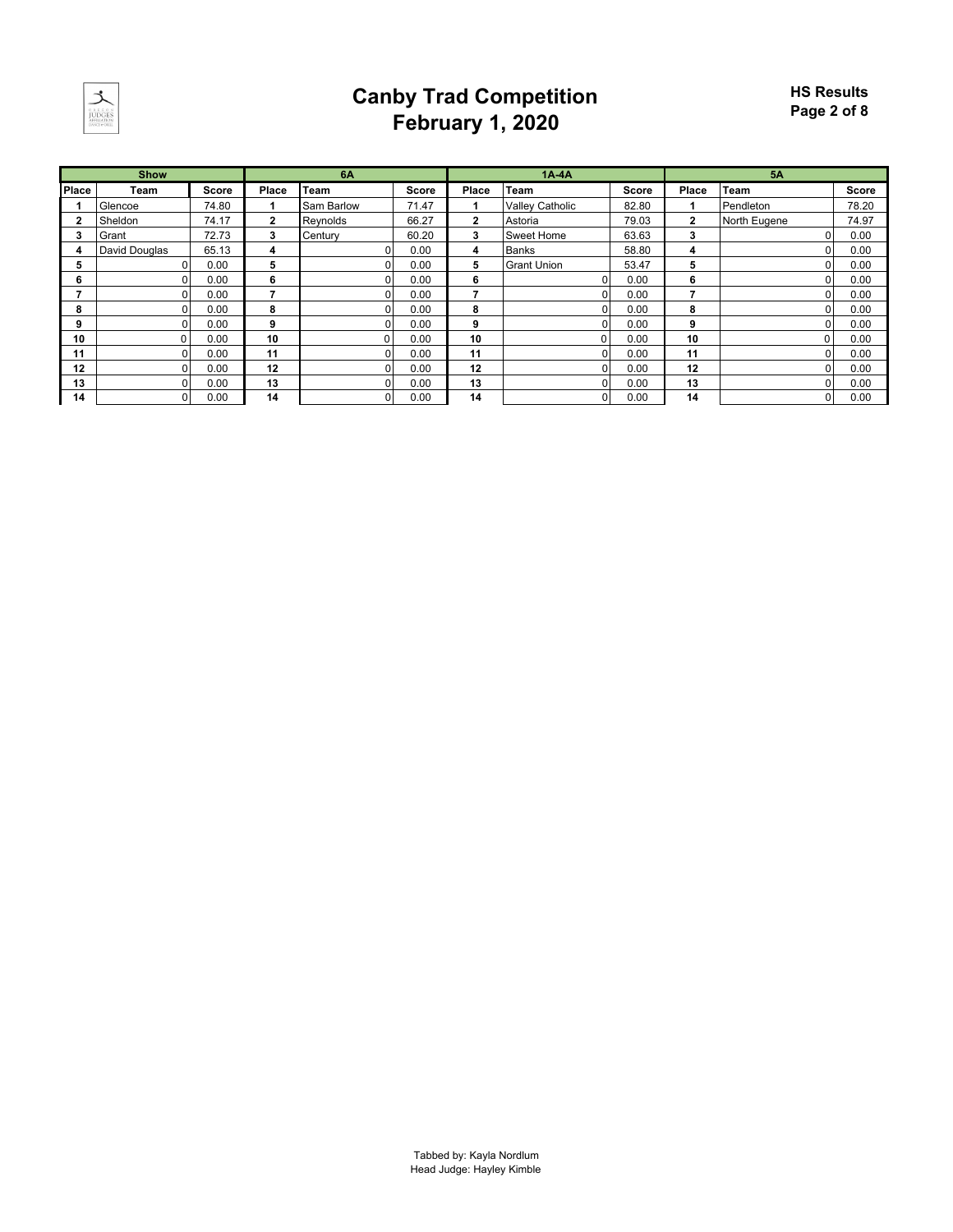

### **Canby Trad Competition February 1, 2020**

|              | <b>Show</b>   |              |                | <b>6A</b>  |              |                         | $1A-4A$                |              |                | 5A           |              |
|--------------|---------------|--------------|----------------|------------|--------------|-------------------------|------------------------|--------------|----------------|--------------|--------------|
| <b>Place</b> | Team          | <b>Score</b> | Place          | Team       | <b>Score</b> | Place                   | Team                   | <b>Score</b> | Place          | <b>Team</b>  | <b>Score</b> |
|              | Glencoe       | 74.80        |                | Sam Barlow | 71.47        |                         | <b>Valley Catholic</b> | 82.80        |                | Pendleton    | 78.20        |
| 2            | Sheldon       | 74.17        | $\overline{2}$ | Reynolds   | 66.27        | $\overline{\mathbf{2}}$ | Astoria                | 79.03        | $\overline{2}$ | North Eugene | 74.97        |
| 3            | Grant         | 72.73        | 3              | Century    | 60.20        | 3                       | Sweet Home             | 63.63        | 3              |              | 0.00         |
| 4            | David Douglas | 65.13        | 4              |            | 0.00         | 4                       | <b>Banks</b>           | 58.80        | 4              |              | 0.00         |
| 5            |               | 0.00         | 5              |            | 0.00         | 5                       | <b>Grant Union</b>     | 53.47        | 5              |              | 0.00         |
| 6            |               | 0.00         | 6              |            | 0.00         | 6                       | 0                      | 0.00         | 6              |              | 0.00         |
|              |               | 0.00         |                |            | 0.00         | 7                       |                        | 0.00         | –              |              | 0.00         |
| 8            |               | 0.00         | 8              |            | 0.00         | 8                       |                        | 0.00         | 8              |              | 0.00         |
| 9            | n.            | 0.00         | 9              |            | 0.00         | 9                       | 0.                     | 0.00         | 9              |              | 0.00         |
| 10           |               | 0.00         | 10             |            | 0.00         | 10                      | ŋ                      | 0.00         | 10             |              | 0.00         |
| 11           |               | 0.00         | 11             |            | 0.00         | 11                      |                        | 0.00         | 11             |              | 0.00         |
| 12           |               | 0.00         | 12             |            | 0.00         | 12                      | Ω.                     | 0.00         | 12             |              | 0.00         |
| 13           |               | 0.00         | 13             |            | 0.00         | 13                      | n                      | 0.00         | 13             |              | 0.00         |
| 14           | ΩI            | 0.00         | 14             |            | 0.00         | 14                      | $\overline{0}$         | 0.00         | 14             |              | 0.00         |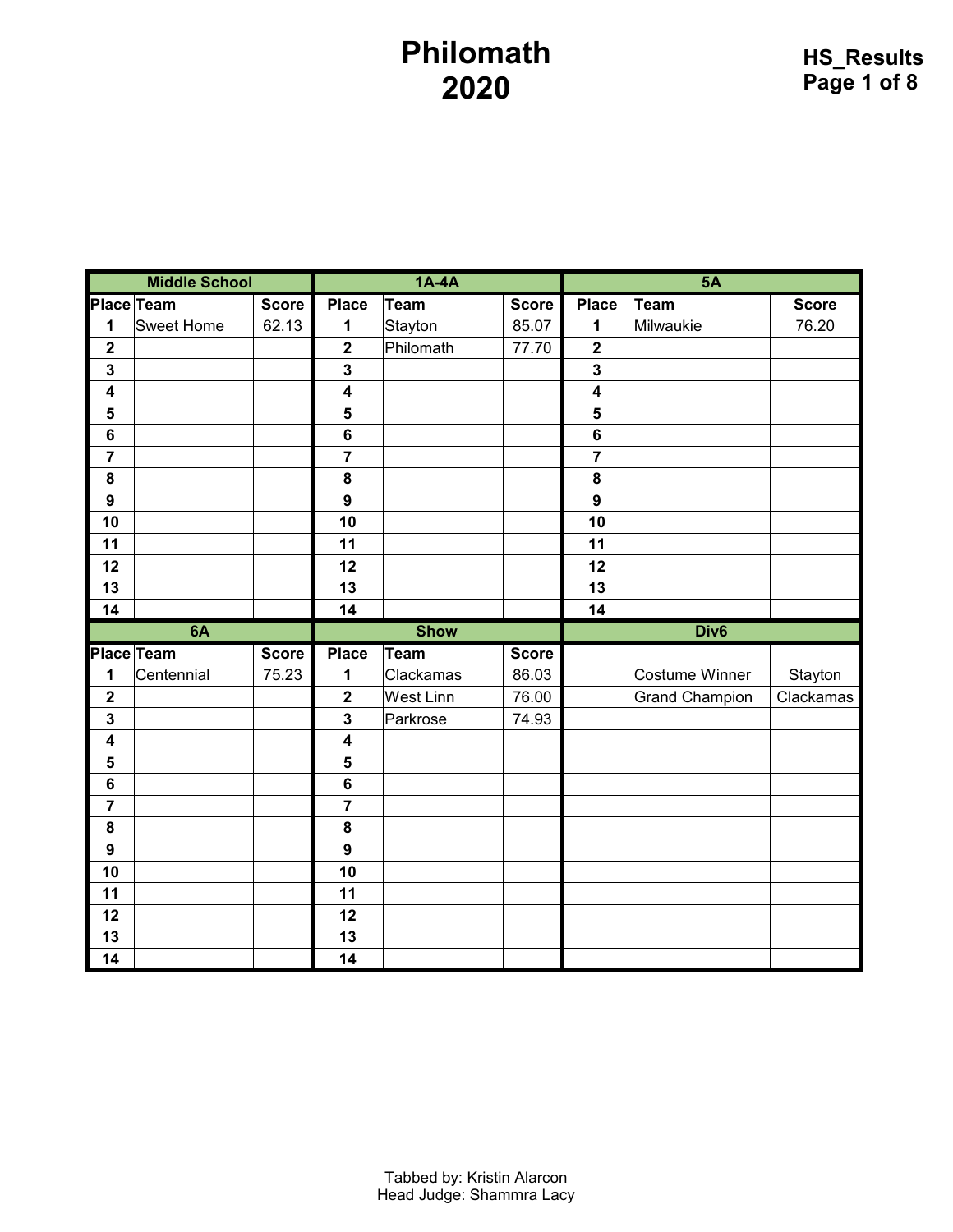### **Philomath**

|                         | <b>Middle School</b> |              |                         | $1A-4A$          |              |                         | <b>5A</b>             |              |  |  |
|-------------------------|----------------------|--------------|-------------------------|------------------|--------------|-------------------------|-----------------------|--------------|--|--|
| <b>Place Team</b>       |                      | <b>Score</b> | <b>Place</b>            | <b>Team</b>      | <b>Score</b> | <b>Place</b>            | <b>Team</b>           | <b>Score</b> |  |  |
| $\mathbf 1$             | <b>Sweet Home</b>    | 62.13        | 1                       | Stayton          | 85.07        | 1                       | Milwaukie             | 76.20        |  |  |
| $\overline{\mathbf{2}}$ |                      |              | $\overline{\mathbf{2}}$ | Philomath        | 77.70        | $\overline{\mathbf{2}}$ |                       |              |  |  |
| $\overline{\mathbf{3}}$ |                      |              | 3                       |                  |              | $\overline{\mathbf{3}}$ |                       |              |  |  |
| $\overline{\mathbf{4}}$ |                      |              | $\overline{\mathbf{4}}$ |                  |              | $\overline{\mathbf{4}}$ |                       |              |  |  |
| $5\phantom{1}$          |                      |              | 5                       |                  |              | 5                       |                       |              |  |  |
| $\boldsymbol{6}$        |                      |              | 6                       |                  |              | $6\phantom{a}$          |                       |              |  |  |
| $\overline{7}$          |                      |              | $\overline{7}$          |                  |              | $\overline{7}$          |                       |              |  |  |
| 8                       |                      |              | 8                       |                  |              | 8                       |                       |              |  |  |
| $\boldsymbol{9}$        |                      |              | $\mathbf{9}$            |                  |              | $\mathbf{9}$            |                       |              |  |  |
| 10                      |                      |              | 10                      |                  |              | 10                      |                       |              |  |  |
| 11                      |                      |              | 11                      |                  |              | 11                      |                       |              |  |  |
| 12                      |                      |              | 12                      |                  |              | 12                      |                       |              |  |  |
| 13                      |                      |              | 13                      |                  |              | 13                      |                       |              |  |  |
| 14                      |                      |              | 14                      |                  |              | 14                      |                       |              |  |  |
|                         |                      |              |                         |                  |              |                         |                       |              |  |  |
|                         | 6A                   |              |                         | <b>Show</b>      |              |                         | Div <sub>6</sub>      |              |  |  |
|                         | Place Team           | <b>Score</b> | <b>Place</b>            | <b>Team</b>      | <b>Score</b> |                         |                       |              |  |  |
| 1                       | Centennial           | 75.23        | 1                       | Clackamas        | 86.03        |                         | <b>Costume Winner</b> | Stayton      |  |  |
| $\mathbf 2$             |                      |              | $\overline{\mathbf{2}}$ | <b>West Linn</b> | 76.00        |                         | <b>Grand Champion</b> | Clackamas    |  |  |
| $\overline{\mathbf{3}}$ |                      |              | 3                       | Parkrose         | 74.93        |                         |                       |              |  |  |
| $\overline{\mathbf{4}}$ |                      |              | $\overline{\mathbf{4}}$ |                  |              |                         |                       |              |  |  |
| 5                       |                      |              | 5                       |                  |              |                         |                       |              |  |  |
| $6\phantom{1}6$         |                      |              | 6                       |                  |              |                         |                       |              |  |  |
| $\overline{7}$          |                      |              | $\overline{7}$          |                  |              |                         |                       |              |  |  |
| ${\bf 8}$               |                      |              | 8                       |                  |              |                         |                       |              |  |  |
| $\boldsymbol{9}$        |                      |              | $\mathbf{9}$            |                  |              |                         |                       |              |  |  |
| 10                      |                      |              | 10                      |                  |              |                         |                       |              |  |  |
| 11                      |                      |              | 11                      |                  |              |                         |                       |              |  |  |
| 12                      |                      |              | 12                      |                  |              |                         |                       |              |  |  |
| 13<br>14                |                      |              | 13<br>14                |                  |              |                         |                       |              |  |  |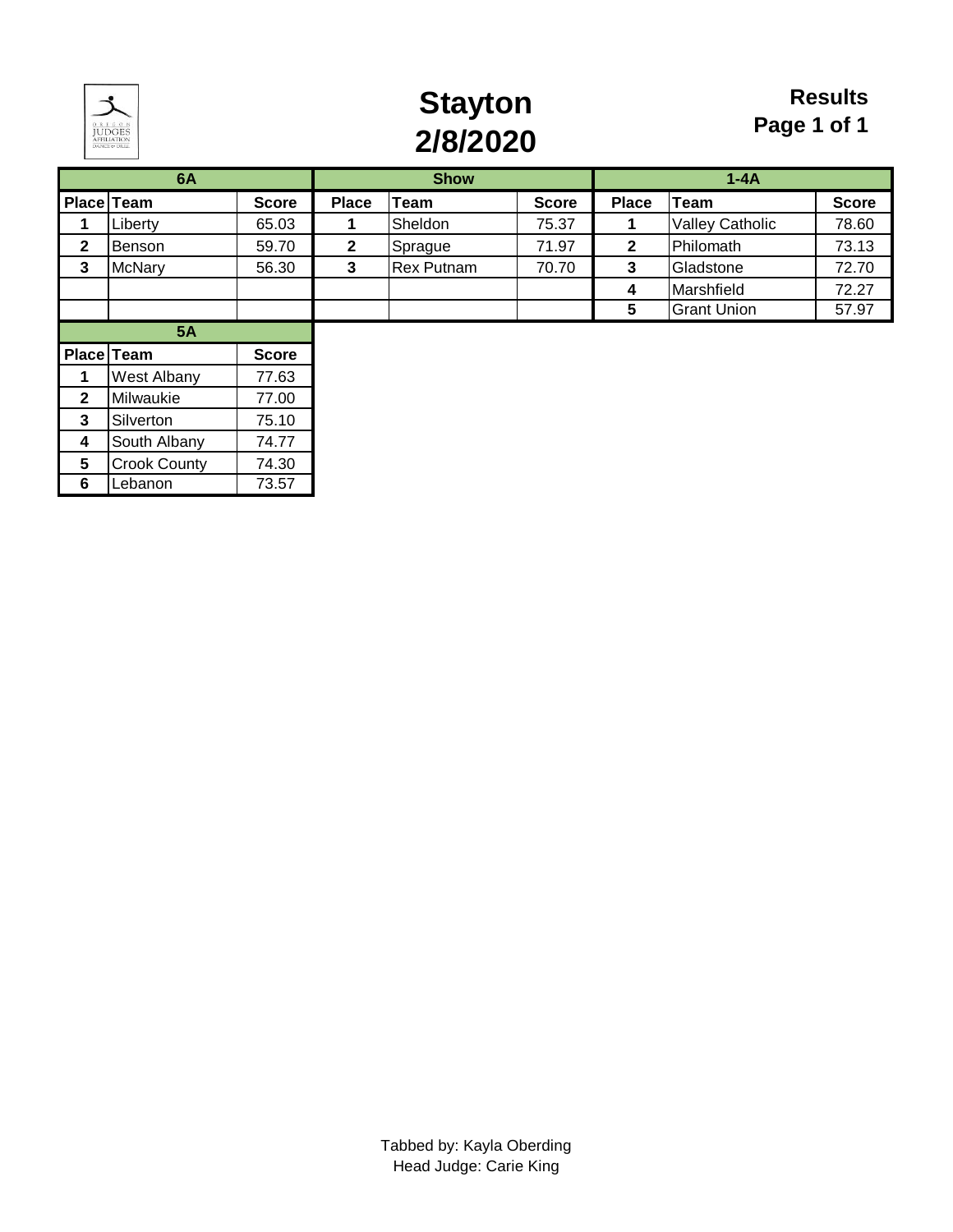

# **Stayton 2/8/2020**

### **Results Page 1 of 1**

|                 | 6A                  |              |              | <b>Show</b>       |              |              | $1 - 4A$               |              |
|-----------------|---------------------|--------------|--------------|-------------------|--------------|--------------|------------------------|--------------|
|                 | Place Team          | <b>Score</b> | <b>Place</b> | <b>Team</b>       | <b>Score</b> | <b>Place</b> | <b>Team</b>            | <b>Score</b> |
|                 | Liberty             | 65.03        |              | Sheldon           | 75.37        |              | <b>Valley Catholic</b> | 78.60        |
| $\mathbf{2}$    | Benson              | 59.70        | $\mathbf{2}$ | Sprague           | 71.97        | $\mathbf{2}$ | Philomath              | 73.13        |
| 3               | <b>McNary</b>       | 56.30        | 3            | <b>Rex Putnam</b> | 70.70        | 3            | Gladstone              | 72.70        |
|                 |                     |              |              |                   |              | 4            | Marshfield             | 72.27        |
|                 |                     |              |              |                   |              | 5            | <b>Grant Union</b>     | 57.97        |
|                 | <b>5A</b>           |              |              |                   |              |              |                        |              |
|                 | Place Team          | <b>Score</b> |              |                   |              |              |                        |              |
| 1               | <b>West Albany</b>  | 77.63        |              |                   |              |              |                        |              |
| $\mathbf{2}$    | Milwaukie           | 77.00        |              |                   |              |              |                        |              |
| 3               | Silverton           | 75.10        |              |                   |              |              |                        |              |
| 4               | South Albany        | 74.77        |              |                   |              |              |                        |              |
| $5\phantom{.0}$ | <b>Crook County</b> | 74.30        |              |                   |              |              |                        |              |

**6** Lebanon 73.57 **6** 0.000 **6** 0.000 **6** 0.000 **6** 0.000 **6** 0.000 **6** 0.000 **6** 0.000 **6** 0.000 **6** 0.000 **6** 0.000 **6** 0.000 **6** 0.000 **6** 0.000 **6** 0.000 **6** 0.000 **6** 0.000 **6** 0.000 **6** 0.000 **6** 0.000 **6** 0.000 **6**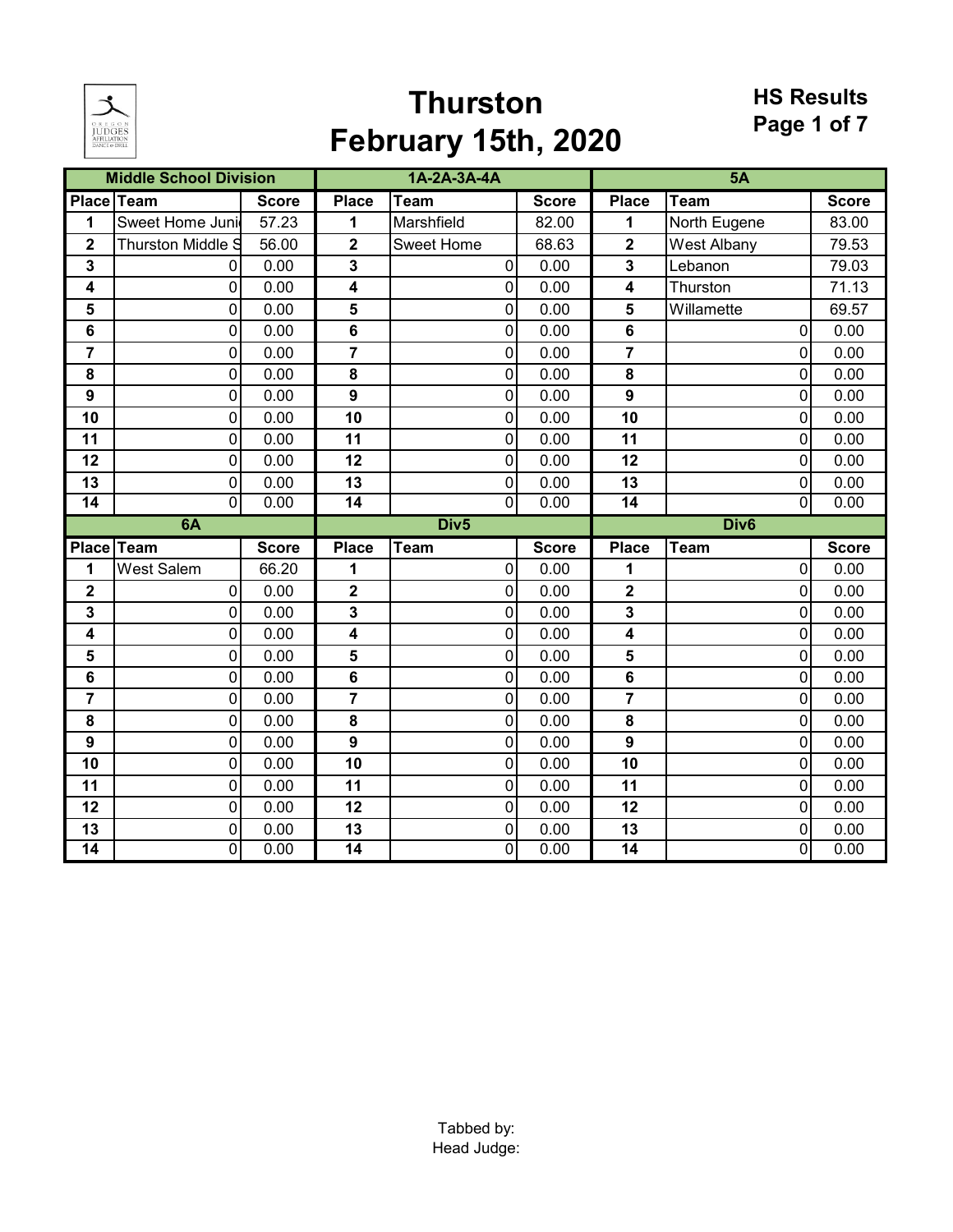

# **Thurston February 15th, 2020**

#### **HS Results Page 1 of 7**

|                         | <b>Middle School Division</b> |              |                         | 1A-2A-3A-4A                 |              |                         | 5A               |              |
|-------------------------|-------------------------------|--------------|-------------------------|-----------------------------|--------------|-------------------------|------------------|--------------|
|                         | Place Team                    | <b>Score</b> | <b>Place</b>            | <b>Team</b>                 | <b>Score</b> | <b>Place</b>            | Team             | <b>Score</b> |
| 1                       | Sweet Home Juni               | 57.23        | 1                       | Marshfield                  | 82.00        | 1                       | North Eugene     | 83.00        |
| $\overline{\mathbf{2}}$ | <b>Thurston Middle S</b>      | 56.00        | $\overline{\mathbf{2}}$ | Sweet Home                  | 68.63        | $\overline{\mathbf{2}}$ | West Albany      | 79.53        |
| 3                       | 0                             | 0.00         | 3                       | 0                           | 0.00         | 3                       | Lebanon          | 79.03        |
| 4                       | 0                             | 0.00         | 4                       | 0                           | 0.00         | 4                       | Thurston         | 71.13        |
| 5                       | 0                             | 0.00         | 5                       | 0                           | 0.00         | 5                       | Willamette       | 69.57        |
| 6                       | 0                             | 0.00         | $\bf 6$                 | 0                           | 0.00         | $6\phantom{1}$          | 0                | 0.00         |
| $\overline{\mathbf{r}}$ | 0                             | 0.00         | $\overline{7}$          | 0                           | 0.00         | $\overline{7}$          | $\Omega$         | 0.00         |
| 8                       | 0                             | 0.00         | 8                       | 0                           | 0.00         | 8                       | 0                | 0.00         |
| $\boldsymbol{9}$        | 0                             | 0.00         | $\boldsymbol{9}$        | $\mathbf 0$                 | 0.00         | $\mathbf{9}$            | 0                | 0.00         |
| 10                      | 0                             | 0.00         | 10                      | 0                           | 0.00         | 10                      | 0                | 0.00         |
| 11                      | 0                             | 0.00         | 11                      | 0                           | 0.00         | 11                      | $\Omega$         | 0.00         |
| 12                      | 0                             | 0.00         | 12                      | $\pmb{0}$                   | 0.00         | 12                      | 0                | 0.00         |
| 13                      | 0                             | 0.00         | 13                      | $\mathbf 0$                 | 0.00         | 13                      | 0                | 0.00         |
| $\overline{14}$         | $\overline{0}$                | 0.00         | $\overline{14}$         | $\overline{0}$              | 0.00         | $\overline{14}$         | $\Omega$         | 0.00         |
|                         | 6A                            |              |                         | Div <sub>5</sub>            |              |                         | Div <sub>6</sub> |              |
|                         | Place Team                    | <b>Score</b> | <b>Place</b>            | <b>Team</b>                 | <b>Score</b> | <b>Place</b>            | <b>Team</b>      | <b>Score</b> |
| 1                       | <b>West Salem</b>             | 66.20        | 1                       | 0                           | 0.00         | 1                       | 0                | 0.00         |
| $\overline{\mathbf{2}}$ | 0                             | 0.00         | $\overline{\mathbf{2}}$ | 0                           | 0.00         | $\overline{\mathbf{2}}$ | $\Omega$         | 0.00         |
| 3                       | 0                             |              |                         |                             |              |                         |                  |              |
|                         |                               | 0.00         | $\mathbf 3$             | $\pmb{0}$                   | 0.00         | $\mathbf{3}$            | 0                | 0.00         |
| 4                       | 0                             | 0.00         | 4                       | 0                           | 0.00         | $\overline{\mathbf{4}}$ | 0                | 0.00         |
| 5                       | 0                             | 0.00         | 5                       | 0                           | 0.00         | 5                       | $\overline{0}$   | 0.00         |
| 6                       | 0                             | 0.00         | 6                       | 0                           | 0.00         | 6                       | 0                | 0.00         |
| $\overline{7}$          | 0                             | 0.00         | $\overline{7}$          | 0                           | 0.00         | $\overline{7}$          | $\Omega$         | 0.00         |
| 8                       | 0                             | 0.00         | $\pmb{8}$               | 0                           | 0.00         | 8                       | $\Omega$         | 0.00         |
| $\boldsymbol{9}$        | 0                             | 0.00         | $\boldsymbol{9}$        | 0                           | 0.00         | $\boldsymbol{9}$        | $\Omega$         | 0.00         |
| 10                      | $\overline{0}$                | 0.00         | 10                      | $\mathsf{O}\xspace$         | 0.00         | 10                      | 0                | 0.00         |
| 11                      | 0                             | 0.00         | 11                      | 0                           | 0.00         | 11                      | 0                | 0.00         |
| 12                      | 0                             | 0.00         | 12                      | 0                           | 0.00         | 12                      | $\Omega$         | 0.00         |
| 13<br>$\overline{14}$   | 0<br>$\Omega$                 | 0.00<br>0.00 | 13<br>$\overline{14}$   | $\pmb{0}$<br>$\overline{0}$ | 0.00<br>0.00 | 13<br>14                | 0<br>0           | 0.00<br>0.00 |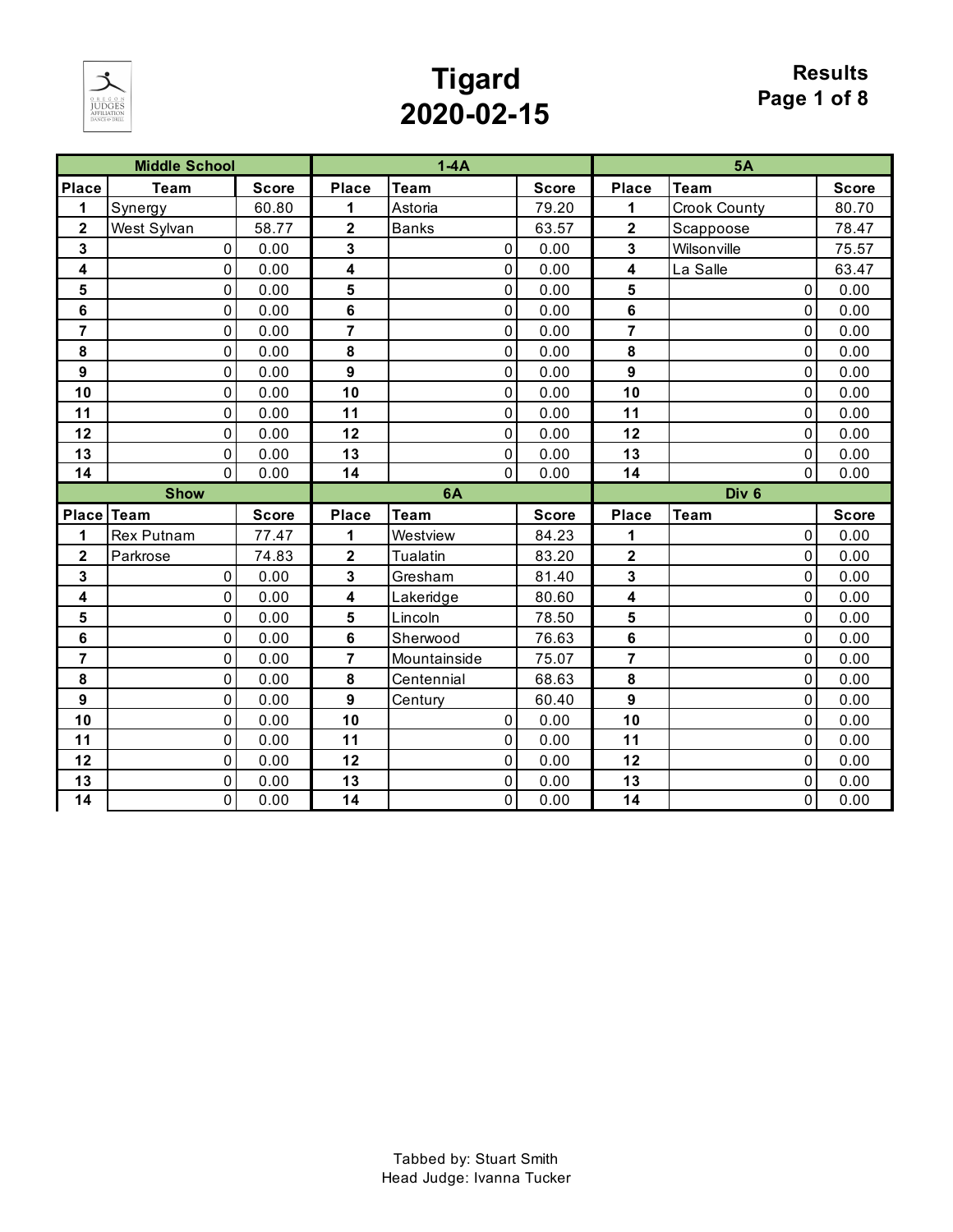

# **Tigard 2020-02-15**

|                         | <b>Middle School</b> |              |                  | $1-4A$       |              |                         | 5A               |              |
|-------------------------|----------------------|--------------|------------------|--------------|--------------|-------------------------|------------------|--------------|
| <b>Place</b>            | <b>Team</b>          | <b>Score</b> | <b>Place</b>     | <b>Team</b>  | <b>Score</b> | <b>Place</b>            | <b>Team</b>      | <b>Score</b> |
| 1                       | Synergy              | 60.80        | 1                | Astoria      | 79.20        | 1                       | Crook County     | 80.70        |
| $\overline{\mathbf{2}}$ | West Sylvan          | 58.77        | $\mathbf 2$      | <b>Banks</b> | 63.57        | $\overline{\mathbf{2}}$ | Scappoose        | 78.47        |
| 3                       | 0                    | 0.00         | 3                | 0            | 0.00         | 3                       | Wilsonville      | 75.57        |
| 4                       | 0                    | 0.00         | 4                | 0            | 0.00         | 4                       | La Salle         | 63.47        |
| 5                       | 0                    | 0.00         | 5                | 0            | 0.00         | 5                       | 0                | 0.00         |
| $6\phantom{1}$          | 0                    | 0.00         | 6                | 0            | 0.00         | 6                       | 0                | 0.00         |
| $\overline{7}$          | 0                    | 0.00         | $\overline{7}$   | 0            | 0.00         | $\overline{7}$          | 0                | 0.00         |
| 8                       | 0                    | 0.00         | 8                | 0            | 0.00         | 8                       | 0                | 0.00         |
| $\boldsymbol{9}$        | 0                    | 0.00         | $\boldsymbol{9}$ | 0            | 0.00         | $\boldsymbol{9}$        | 0                | 0.00         |
| 10                      | 0                    | 0.00         | 10               | 0            | 0.00         | 10                      | 0                | 0.00         |
| 11                      | 0                    | 0.00         | 11               | 0            | 0.00         | 11                      | 0                | 0.00         |
| 12                      | 0                    | 0.00         | 12               | 0            | 0.00         | 12                      | 0                | 0.00         |
| 13                      | 0                    | 0.00         | 13               | 0            | 0.00         | 13                      | $\Omega$         | 0.00         |
| 14                      | $\Omega$             | 0.00         | 14               | 0            | 0.00         | 14                      | 0                | 0.00         |
|                         |                      |              |                  |              |              |                         |                  |              |
|                         | <b>Show</b>          |              |                  | 6A           |              |                         | Div <sub>6</sub> |              |
| Place Team              |                      | <b>Score</b> | <b>Place</b>     | <b>Team</b>  | <b>Score</b> | <b>Place</b>            | <b>Team</b>      | <b>Score</b> |
| 1                       | <b>Rex Putnam</b>    | 77.47        | 1                | Westview     | 84.23        | 1                       | 0                | 0.00         |
| $\mathbf 2$             | Parkrose             | 74.83        | $\mathbf 2$      | Tualatin     | 83.20        | $\mathbf 2$             | 0                | 0.00         |
| 3                       | 0                    | 0.00         | 3                | Gresham      | 81.40        | 3                       | 0                | 0.00         |
| 4                       | 0                    | 0.00         | 4                | Lakeridge    | 80.60        | 4                       | 0                | 0.00         |
| 5                       | 0                    | 0.00         | 5                | Lincoln      | 78.50        | 5                       | 0                | 0.00         |
| 6                       | 0                    | 0.00         | 6                | Sherwood     | 76.63        | 6                       | 0                | 0.00         |
| $\overline{7}$          | 0                    | 0.00         | $\overline{7}$   | Mountainside | 75.07        | $\overline{7}$          | 0                | 0.00         |
| 8                       | 0                    | 0.00         | ${\bf 8}$        | Centennial   | 68.63        | 8                       | 0                | 0.00         |
| $\boldsymbol{9}$        | 0                    | 0.00         | $\boldsymbol{9}$ | Century      | 60.40        | $\mathbf{9}$            | 0                | 0.00         |
| 10                      | 0                    | 0.00         | 10               | $\pmb{0}$    | 0.00         | 10                      | 0                | 0.00         |
| 11                      | 0                    | 0.00         | 11               | 0            | 0.00         | 11                      | 0                | 0.00         |
| 12                      | 0                    | 0.00         | 12               | 0            | 0.00         | 12                      | 0                | 0.00         |
| 13                      | 0                    | 0.00         | 13               | $\mathbf 0$  | 0.00         | 13                      | 0                | 0.00         |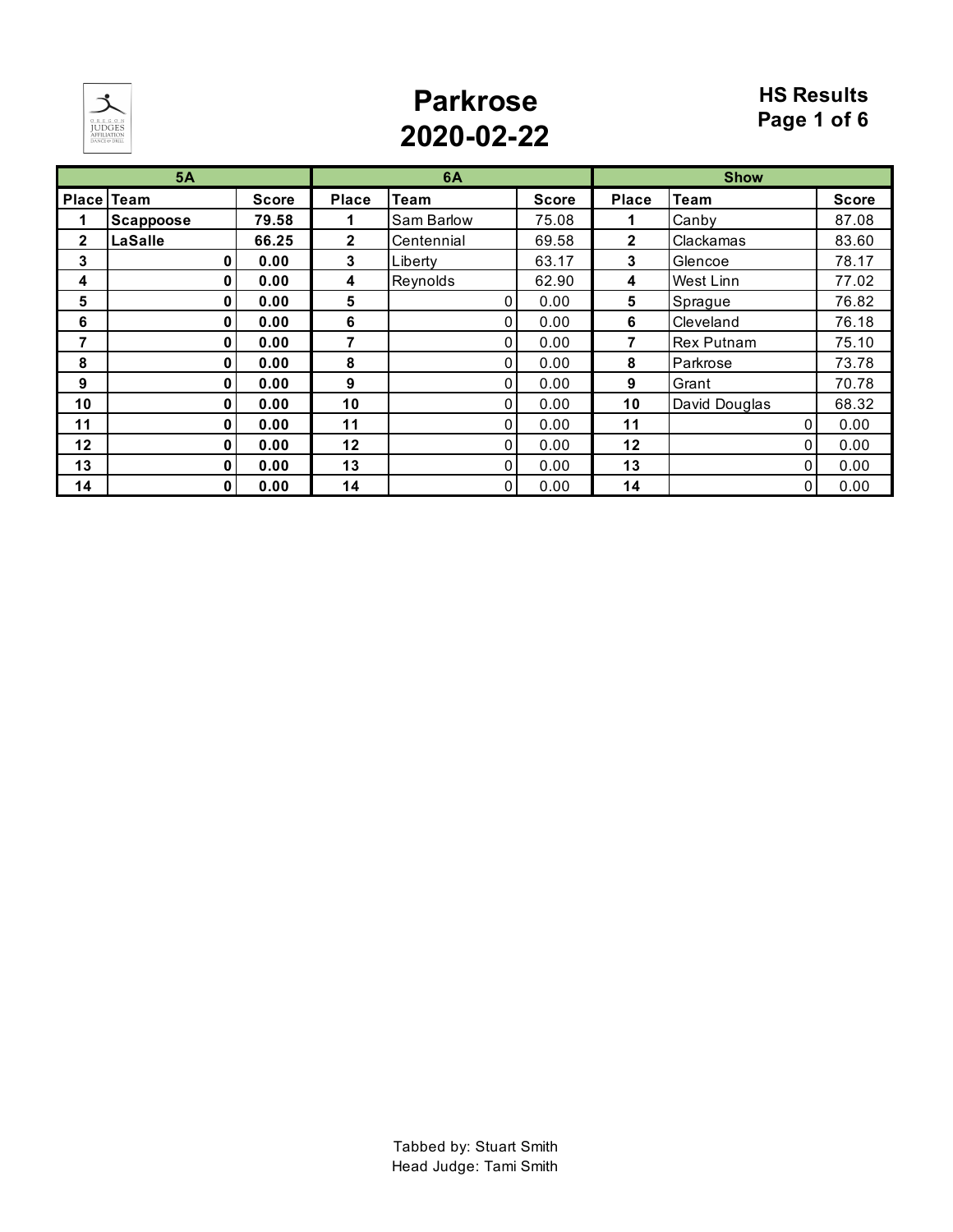

## **Parkrose 2020-02-22**

#### **HS Results Page 1 of 6**

|              | 5A                |              |                | 6A           |              |              | <b>Show</b>       |              |
|--------------|-------------------|--------------|----------------|--------------|--------------|--------------|-------------------|--------------|
|              | <b>Place Team</b> | <b>Score</b> | <b>Place</b>   | <b>Team</b>  | <b>Score</b> | <b>Place</b> | <b>Team</b>       | <b>Score</b> |
|              | <b>Scappoose</b>  | 79.58        |                | Sam Barlow   | 75.08        |              | Canby             | 87.08        |
| $\mathbf{2}$ | LaSalle           | 66.25        | $\overline{2}$ | Centennial   | 69.58        | $\mathbf{2}$ | Clackamas         | 83.60        |
| 3            | 0                 | 0.00         | 3              | Liberty      | 63.17        | 3            | Glencoe           | 78.17        |
| 4            | 0                 | 0.00         | 4              | Reynolds     | 62.90        | 4            | West Linn         | 77.02        |
| 5            | 0                 | 0.00         | 5              | 0            | 0.00         | 5            | Sprague           | 76.82        |
| 6            | 0                 | 0.00         | 6              | 0            | 0.00         | 6            | Cleveland         | 76.18        |
| 7            | 0                 | 0.00         | 7              | $\Omega$     | 0.00         | 7            | <b>Rex Putnam</b> | 75.10        |
| 8            | 0                 | 0.00         | 8              | 0            | 0.00         | 8            | Parkrose          | 73.78        |
| 9            | 0                 | 0.00         | 9              | 0            | 0.00         | 9            | Grant             | 70.78        |
| 10           | 0                 | 0.00         | 10             | 0            | 0.00         | 10           | David Douglas     | 68.32        |
| 11           | 0                 | 0.00         | 11             | 0            | 0.00         | 11           | U                 | 0.00         |
| 12           | 0                 | 0.00         | 12             | 0            | 0.00         | 12           |                   | 0.00         |
| 13           | 0                 | 0.00         | 13             | $\mathbf{0}$ | 0.00         | 13           | 0                 | 0.00         |
| 14           | 0                 | 0.00         | 14             | 0            | 0.00         | 14           |                   | 0.00         |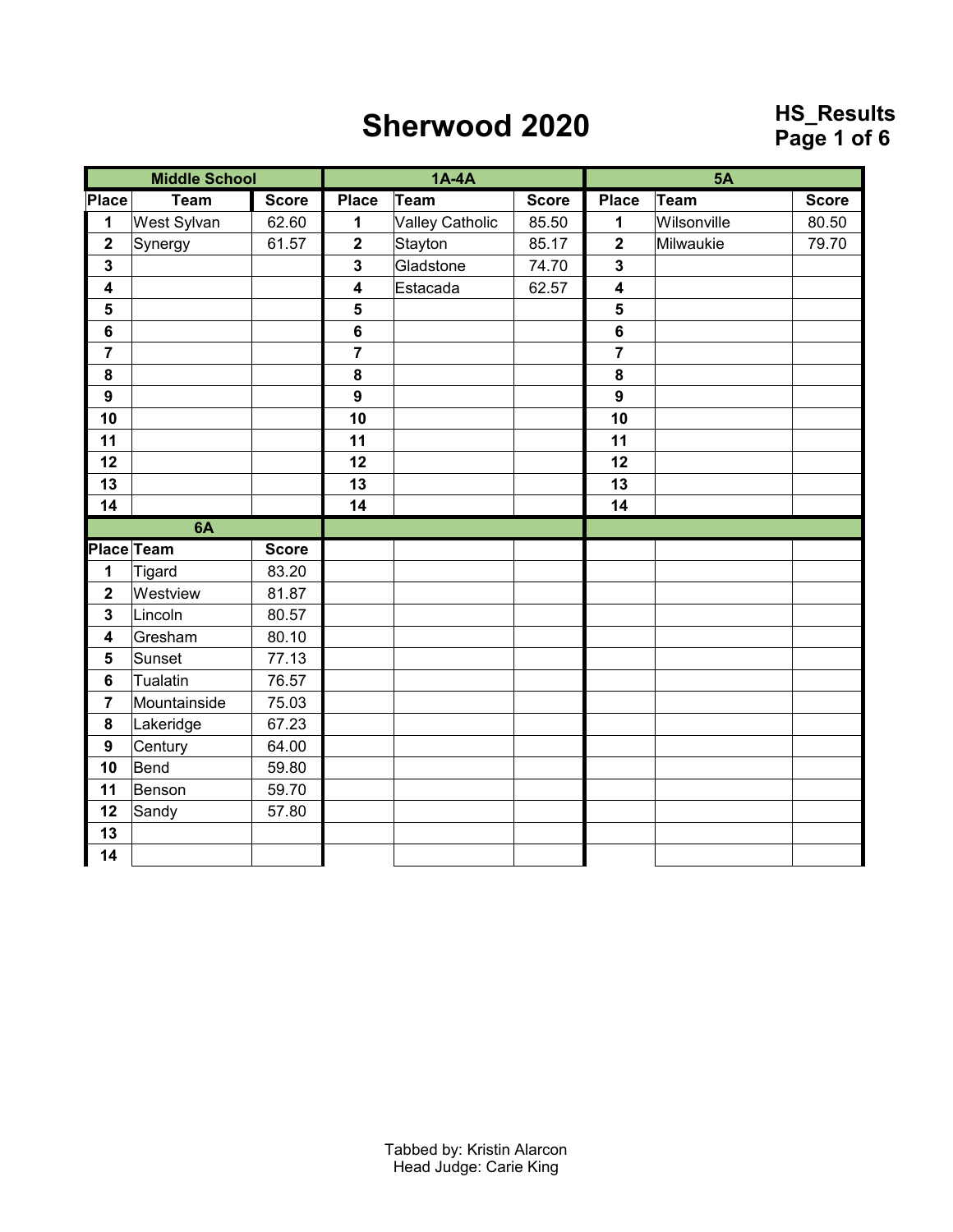### **Sherwood 2020**

# **Page 1 of 6**

|                         | <b>Middle School</b> |              |                         | $1A-4A$                |              |                         | <b>5A</b>   |              |
|-------------------------|----------------------|--------------|-------------------------|------------------------|--------------|-------------------------|-------------|--------------|
| Place                   | <b>Team</b>          | <b>Score</b> | <b>Place</b>            | Team                   | <b>Score</b> | <b>Place</b>            | Team        | <b>Score</b> |
| 1                       | West Sylvan          | 62.60        | 1                       | <b>Valley Catholic</b> | 85.50        | 1                       | Wilsonville | 80.50        |
| $\overline{\mathbf{2}}$ | Synergy              | 61.57        | $\overline{\mathbf{2}}$ | Stayton                | 85.17        | $\overline{\mathbf{2}}$ | Milwaukie   | 79.70        |
| $\mathbf{3}$            |                      |              | $\mathbf 3$             | Gladstone              | 74.70        | $\mathbf{3}$            |             |              |
| $\overline{\mathbf{4}}$ |                      |              | $\overline{\mathbf{4}}$ | Estacada               | 62.57        | $\overline{\mathbf{4}}$ |             |              |
| $\overline{\mathbf{5}}$ |                      |              | 5                       |                        |              | 5                       |             |              |
| $\bf 6$                 |                      |              | $\bf 6$                 |                        |              | $6\phantom{a}$          |             |              |
| $\overline{7}$          |                      |              | $\overline{7}$          |                        |              | $\overline{7}$          |             |              |
| ${\bf 8}$               |                      |              | 8                       |                        |              | 8                       |             |              |
| $\boldsymbol{9}$        |                      |              | $\overline{9}$          |                        |              | 9                       |             |              |
| 10                      |                      |              | 10                      |                        |              | 10                      |             |              |
| 11                      |                      |              | 11                      |                        |              | 11                      |             |              |
| 12                      |                      |              | 12                      |                        |              | 12                      |             |              |
| 13                      |                      |              | 13                      |                        |              | 13                      |             |              |
| 14                      |                      |              | 14                      |                        |              | 14                      |             |              |
|                         | 6A                   |              |                         |                        |              |                         |             |              |
|                         | Place Team           | <b>Score</b> |                         |                        |              |                         |             |              |
| 1                       | Tigard               |              |                         |                        |              |                         |             |              |
|                         |                      | 83.20        |                         |                        |              |                         |             |              |
| $\overline{\mathbf{2}}$ | Westview             | 81.87        |                         |                        |              |                         |             |              |
| $\overline{\mathbf{3}}$ | Lincoln              | 80.57        |                         |                        |              |                         |             |              |
| $\overline{\mathbf{4}}$ | Gresham              | 80.10        |                         |                        |              |                         |             |              |
| $\sqrt{5}$              | Sunset               | 77.13        |                         |                        |              |                         |             |              |
| $6\phantom{1}$          | Tualatin             | 76.57        |                         |                        |              |                         |             |              |
| $\overline{7}$          | Mountainside         | 75.03        |                         |                        |              |                         |             |              |
| 8                       | Lakeridge            | 67.23        |                         |                        |              |                         |             |              |
| $\boldsymbol{9}$        | Century              | 64.00        |                         |                        |              |                         |             |              |
| 10                      | Bend                 | 59.80        |                         |                        |              |                         |             |              |
| 11                      | Benson               | 59.70        |                         |                        |              |                         |             |              |
| 12                      | Sandy                | 57.80        |                         |                        |              |                         |             |              |
| 13                      |                      |              |                         |                        |              |                         |             |              |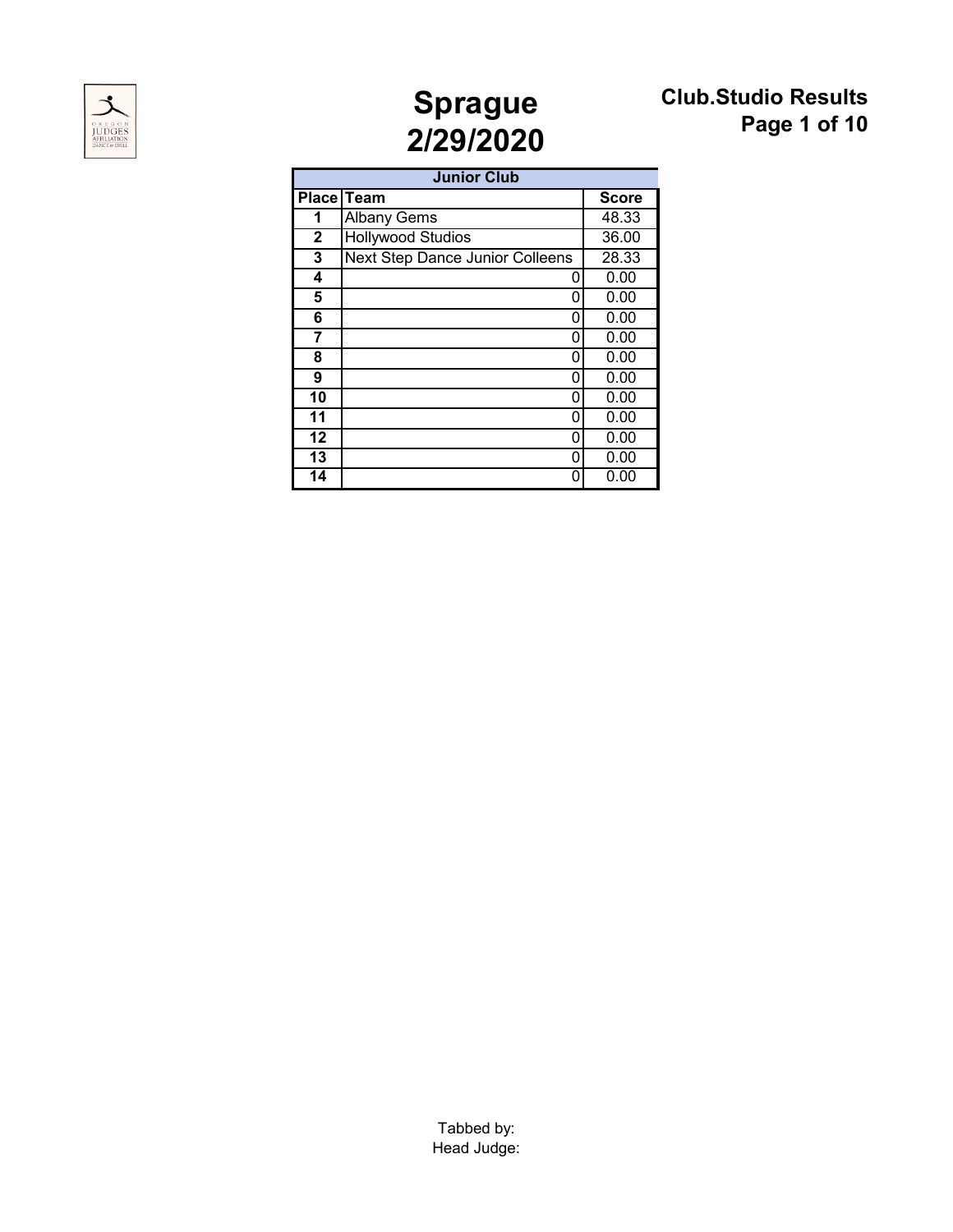



### **Club.Studio Results Page 1 of 10**

|                 | <b>Junior Club</b>              |              |
|-----------------|---------------------------------|--------------|
|                 | Place Team                      | <b>Score</b> |
| 1               | <b>Albany Gems</b>              | 48.33        |
| $\mathbf{2}$    | <b>Hollywood Studios</b>        | 36.00        |
| 3               | Next Step Dance Junior Colleens | 28.33        |
| 4               | 0                               | 0.00         |
| 5               | 0                               | 0.00         |
| 6               | ი                               | 0.00         |
| 7               | ი                               | 0.00         |
| 8               | 0                               | 0.00         |
| 9               | Ω                               | 0.00         |
| 10              | ი                               | 0.00         |
| 11              | ი                               | 0.00         |
| 12              | ი                               | 0.00         |
| 13              | U                               | 0.00         |
| $\overline{14}$ | ი                               | 0.00         |

Tabbed by: Head Judge: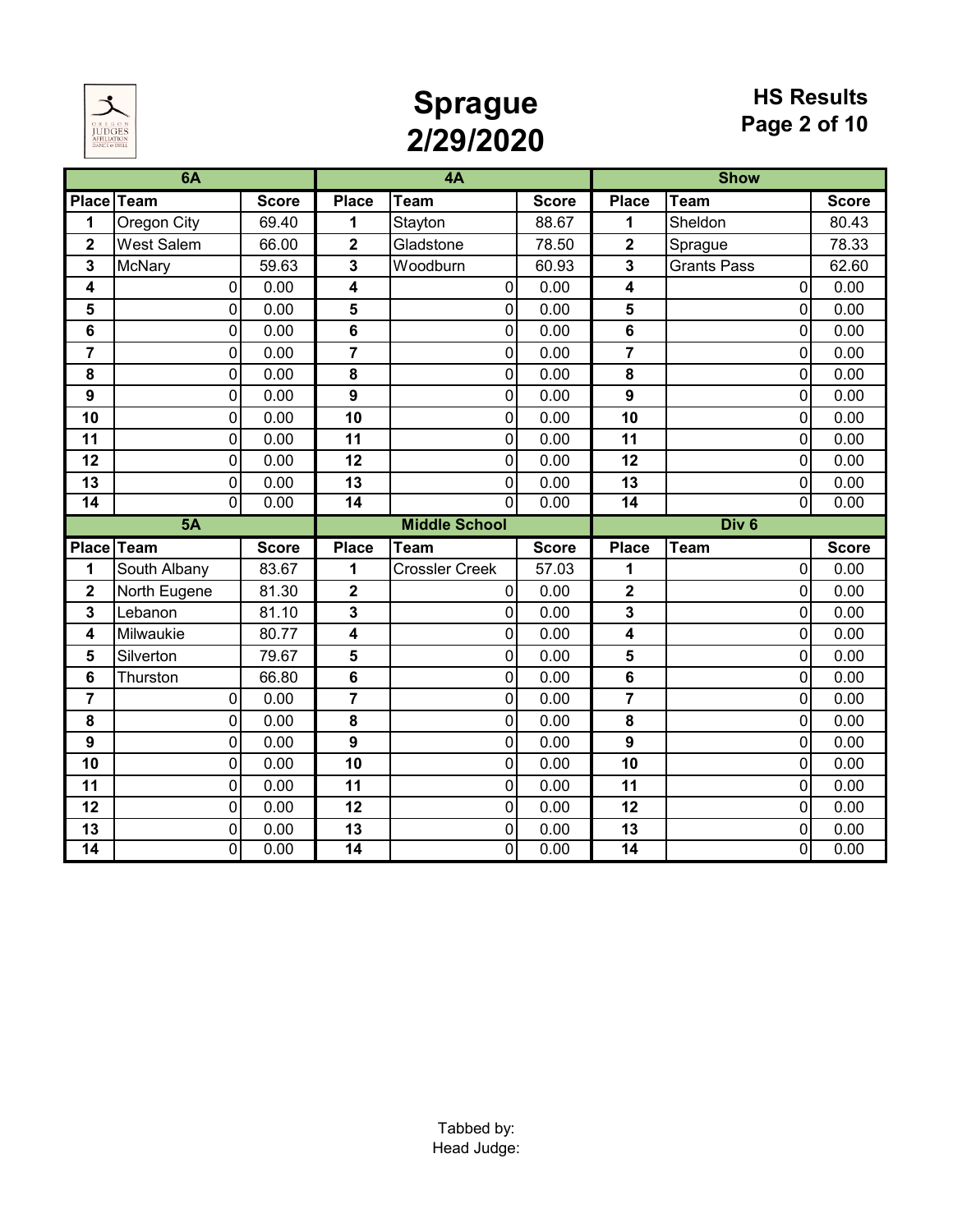

# **Sprague 2/29/2020**

#### **HS Results Page 2 of 10**

|                         | 6A                 |              |                       | 4A                    |              |                         | <b>Show</b>                 |              |
|-------------------------|--------------------|--------------|-----------------------|-----------------------|--------------|-------------------------|-----------------------------|--------------|
|                         | Place Team         | <b>Score</b> | <b>Place</b>          | <b>Team</b>           | <b>Score</b> | <b>Place</b>            | $\overline{\mathsf{T}}$ eam | <b>Score</b> |
| 1                       | <b>Oregon City</b> | 69.40        | 1                     | Stayton               | 88.67        | 1                       | Sheldon                     | 80.43        |
| $\overline{\mathbf{2}}$ | <b>West Salem</b>  | 66.00        | $\mathbf 2$           | Gladstone             | 78.50        | 2                       | Sprague                     | 78.33        |
| 3                       | McNary             | 59.63        | 3                     | Woodburn              | 60.93        | 3                       | <b>Grants Pass</b>          | 62.60        |
| 4                       | 0                  | 0.00         | 4                     | 0                     | 0.00         | 4                       | $\Omega$                    | 0.00         |
| 5                       | 0                  | 0.00         | 5                     | $\pmb{0}$             | 0.00         | 5                       | 0                           | 0.00         |
| $6\phantom{1}6$         | 0                  | 0.00         | 6                     | 0                     | 0.00         | 6                       | 0                           | 0.00         |
| $\overline{7}$          | 0                  | 0.00         | $\overline{7}$        | $\mathbf 0$           | 0.00         | $\overline{7}$          | 0                           | 0.00         |
| 8                       | $\mathbf 0$        | 0.00         | 8                     | $\pmb{0}$             | 0.00         | 8                       | 0                           | 0.00         |
| 9                       | 0                  | 0.00         | 9                     | $\mathbf 0$           | 0.00         | 9                       | 0                           | 0.00         |
| 10                      | 0                  | 0.00         | 10                    | 0                     | 0.00         | 10                      | 0                           | 0.00         |
| 11                      | 0                  | 0.00         | 11                    | $\pmb{0}$             | 0.00         | 11                      | 0                           | 0.00         |
| 12                      | 0                  | 0.00         | 12                    | $\pmb{0}$             | 0.00         | 12                      | 0                           | 0.00         |
| 13                      | $\mathbf 0$        | 0.00         | 13                    | 0                     | 0.00         | 13                      | 0                           | 0.00         |
| $\overline{14}$         | $\Omega$           | 0.00         | $\overline{14}$       | $\mathbf{0}$          | 0.00         | $\overline{14}$         | $\Omega$                    | 0.00         |
|                         |                    |              |                       |                       |              |                         |                             |              |
|                         | 5A                 |              |                       | <b>Middle School</b>  |              |                         | Div <sub>6</sub>            |              |
|                         | Place Team         | <b>Score</b> | <b>Place</b>          | <b>Team</b>           | <b>Score</b> | <b>Place</b>            | <b>Team</b>                 | <b>Score</b> |
| 1                       | South Albany       | 83.67        | 1                     | <b>Crossler Creek</b> | 57.03        | 1                       | 0                           | 0.00         |
| $\overline{\mathbf{2}}$ | North Eugene       | 81.30        | $\mathbf 2$           | 0                     | 0.00         | $\overline{\mathbf{2}}$ | 0                           | 0.00         |
| 3                       | Lebanon            | 81.10        | 3                     | $\mathbf 0$           | 0.00         | 3                       | 0                           | 0.00         |
| 4                       | Milwaukie          | 80.77        | 4                     | $\mathbf 0$           | 0.00         | 4                       | 0                           | 0.00         |
| 5                       | Silverton          | 79.67        | 5                     | $\pmb{0}$             | 0.00         | 5                       | 0                           | 0.00         |
| $6\phantom{1}6$         | Thurston           | 66.80        | 6                     | $\pmb{0}$             | 0.00         | 6                       | 0                           | 0.00         |
| $\overline{7}$          | 0                  | 0.00         | $\overline{7}$        | 0                     | 0.00         | $\overline{7}$          | 0                           | 0.00         |
| 8                       | 0                  | 0.00         | 8                     | 0                     | 0.00         | 8                       | 0                           | 0.00         |
| 9                       | 0                  | 0.00         | 9                     | $\pmb{0}$             | 0.00         | $\boldsymbol{9}$        | 0                           | 0.00         |
| 10                      | 0                  | 0.00         | 10                    | $\mathbf 0$           | 0.00         | 10                      | 0                           | 0.00         |
| 11                      | 0                  | 0.00         | 11                    | $\mathbf 0$           | 0.00         | 11                      | 0                           | 0.00         |
| 12                      | 0                  | 0.00         | 12                    | $\pmb{0}$             | 0.00         | 12                      | 0                           | 0.00         |
| 13<br>14                | 0<br>$\Omega$      | 0.00<br>0.00 | 13<br>$\overline{14}$ | 0<br>$\mathbf 0$      | 0.00<br>0.00 | 13<br>14                | 0                           | 0.00<br>0.00 |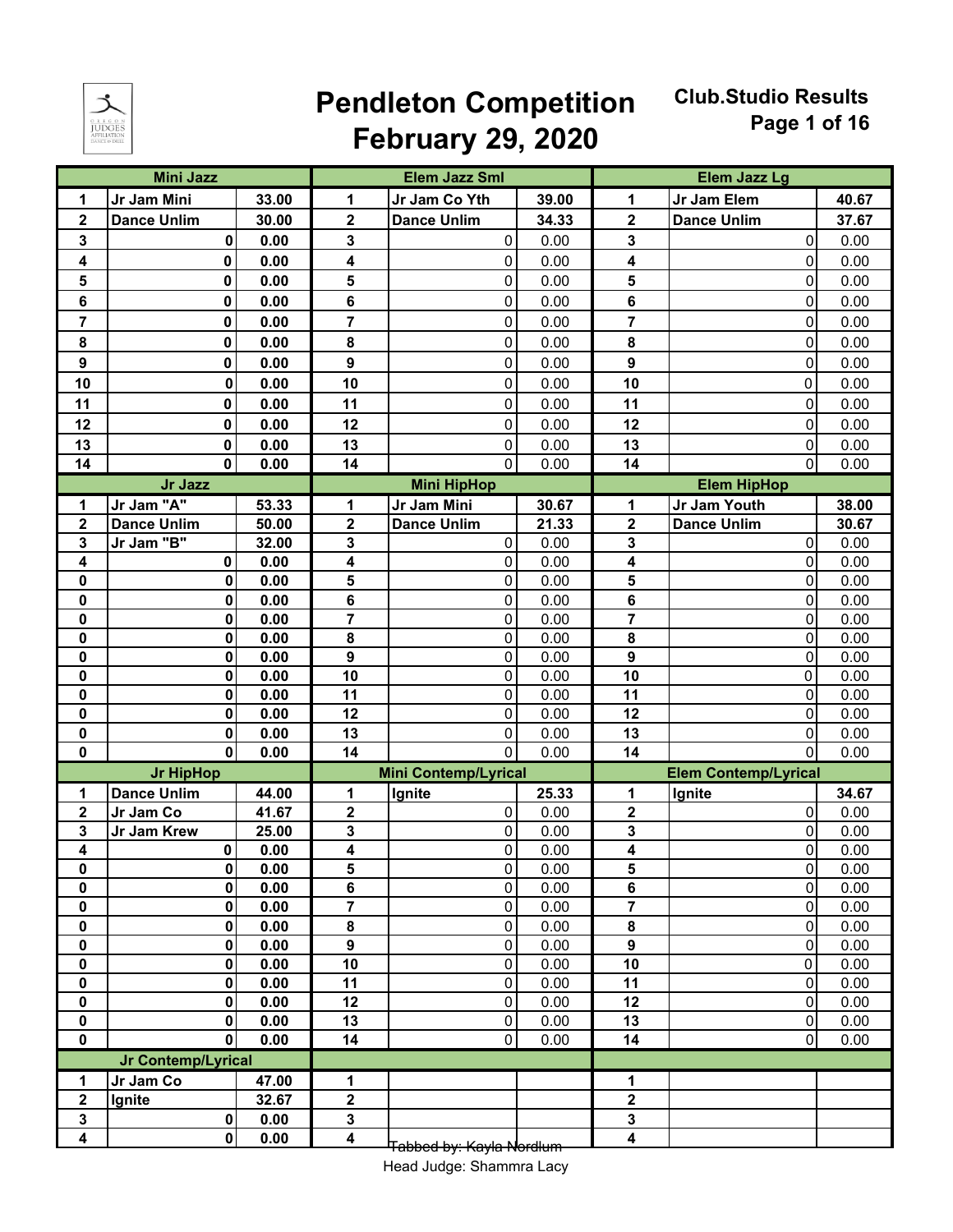

### **Pendleton Competition February 29, 2020**

**Club.Studio Results Page 1 of 16** 

|                            | <b>Mini Jazz</b>        |              |                         | <b>Elem Jazz Sml</b>        |              |                         | <b>Elem Jazz Lg</b>         |              |
|----------------------------|-------------------------|--------------|-------------------------|-----------------------------|--------------|-------------------------|-----------------------------|--------------|
| 1                          | Jr Jam Mini             | 33.00        | 1                       | Jr Jam Co Yth               | 39.00        | 1                       | Jr Jam Elem                 | 40.67        |
| $\mathbf 2$                | <b>Dance Unlim</b>      | 30.00        | $\mathbf 2$             | <b>Dance Unlim</b>          | 34.33        | $\overline{\mathbf{2}}$ | <b>Dance Unlim</b>          | 37.67        |
| $\mathbf{3}$               | 0                       | 0.00         | 3                       | $\pmb{0}$                   | 0.00         | 3                       | $\mathbf 0$                 | 0.00         |
| 4                          | 0                       | 0.00         | 4                       | 0                           | 0.00         | 4                       | $\mathbf{0}$                | 0.00         |
| $5\phantom{1}$             | 0                       | 0.00         | 5                       | 0                           | 0.00         | 5                       | $\mathbf{0}$                | 0.00         |
| 6                          | 0                       | 0.00         | 6                       | $\pmb{0}$                   | 0.00         | 6                       | $\mathbf 0$                 | 0.00         |
| $\overline{7}$             | 0                       | 0.00         | $\overline{\mathbf{r}}$ | $\pmb{0}$                   | 0.00         | 7                       | $\mathbf 0$                 | 0.00         |
| 8                          | 0                       | 0.00         | 8                       | 0                           | 0.00         | 8                       | $\mathbf 0$                 | 0.00         |
| $\boldsymbol{9}$           | 0                       | 0.00         | $\boldsymbol{9}$        | $\pmb{0}$                   | 0.00         | $\boldsymbol{9}$        | $\mathbf 0$                 | 0.00         |
| 10                         | 0                       | 0.00         | 10                      | 0                           | 0.00         | 10                      | 0                           | 0.00         |
| 11                         | 0                       | 0.00         | 11                      | $\pmb{0}$                   | 0.00         | 11                      | $\mathbf 0$                 | 0.00         |
| 12                         | 0                       | 0.00         | 12                      | $\pmb{0}$                   | 0.00         | 12                      | $\mathbf 0$                 | 0.00         |
| 13                         | 0                       | 0.00         | 13                      | $\pmb{0}$                   | 0.00         | 13                      | 0                           | 0.00         |
| 14                         | 0                       | 0.00         | 14                      | $\mathbf 0$                 | 0.00         | 14                      | $\Omega$                    | 0.00         |
|                            | Jr Jazz                 |              |                         | <b>Mini HipHop</b>          |              |                         | <b>Elem HipHop</b>          |              |
| 1                          | Jr Jam "A"              | 53.33        | 1                       | Jr Jam Mini                 | 30.67        | 1                       | Jr Jam Youth                | 38.00        |
| $\mathbf 2$                | <b>Dance Unlim</b>      | 50.00        | $\mathbf{2}$            | <b>Dance Unlim</b>          | 21.33        | $\mathbf 2$             | <b>Dance Unlim</b>          | 30.67        |
| $\mathbf{3}$               | Jr Jam "B"              | 32.00        | 3                       | 0                           | 0.00         | 3                       | $\mathbf 0$                 | 0.00         |
| 4                          | 0                       | 0.00         | 4                       | 0                           | 0.00         | 4                       | $\mathbf 0$                 | 0.00         |
| 0                          | $\bf{0}$                | 0.00         | 5                       | 0                           | 0.00         | 5                       | $\mathbf 0$                 | 0.00         |
| 0                          | 0                       | 0.00         | 6                       | $\pmb{0}$                   | 0.00         | 6                       | $\mathbf 0$                 | 0.00         |
| 0                          | 0                       | 0.00         | 7                       | $\pmb{0}$                   | 0.00         | 7                       | $\mathbf 0$                 | 0.00         |
| $\bf{0}$                   | 0                       | 0.00         | 8                       | $\pmb{0}$                   | 0.00         | 8                       | $\mathbf 0$                 | 0.00         |
| $\pmb{0}$                  | $\bf{0}$                | 0.00         | $\boldsymbol{9}$        | $\pmb{0}$                   | 0.00         | $\boldsymbol{9}$        | $\mathbf 0$                 | 0.00         |
| $\mathbf 0$                | $\bf{0}$                | 0.00         | 10                      | $\pmb{0}$                   | 0.00         | 10                      | 0                           | 0.00         |
| $\mathbf 0$<br>$\mathbf 0$ | $\bf{0}$<br>$\mathbf 0$ | 0.00<br>0.00 | 11<br>12                | $\pmb{0}$<br>$\pmb{0}$      | 0.00<br>0.00 | 11<br>12                | 0<br>$\mathbf 0$            | 0.00<br>0.00 |
| $\pmb{0}$                  | 0                       | 0.00         | 13                      | $\pmb{0}$                   | 0.00         | 13                      | $\mathbf{0}$                | 0.00         |
| $\bf{0}$                   | $\mathbf{0}$            | 0.00         | 14                      | 0                           | 0.00         | 14                      | $\Omega$                    | 0.00         |
|                            | <b>Jr HipHop</b>        |              |                         | <b>Mini Contemp/Lyrical</b> |              |                         | <b>Elem Contemp/Lyrical</b> |              |
| 1                          | <b>Dance Unlim</b>      | 44.00        | 1                       | Ignite                      | 25.33        | 1                       | Ignite                      | 34.67        |
| $\mathbf 2$                | Jr Jam Co               | 41.67        | $\mathbf 2$             | $\pmb{0}$                   | 0.00         | $\mathbf 2$             | $\mathbf{0}$                | 0.00         |
| 3                          | Jr Jam Krew             | 25.00        | 3                       | 0                           | 0.00         | 3                       | $\mathbf{0}$                | 0.00         |
| 4                          | 0                       | 0.00         | 4                       | $\pmb{0}$                   | 0.00         | 4                       | $\mathbf 0$                 | 0.00         |
| 0                          | 0                       | 0.00         | 5                       | $\pmb{0}$                   | 0.00         | 5                       | $\overline{0}$              | 0.00         |
| 0                          | $\pmb{0}$               | 0.00         | 6                       | $\pmb{0}$                   | 0.00         | 6                       | $\mathbf 0$                 | 0.00         |
| 0                          | $\bf{0}$                | 0.00         | $\overline{\mathbf{r}}$ | $\pmb{0}$                   | 0.00         | $\overline{7}$          | $\mathbf 0$                 | 0.00         |
| 0                          | 0                       | 0.00         | 8                       | $\pmb{0}$                   | 0.00         | 8                       | $\pmb{0}$                   | 0.00         |
| $\mathbf 0$                | $\bf{0}$                | 0.00         | 9                       | $\pmb{0}$                   | 0.00         | $\boldsymbol{9}$        | $\mathbf 0$                 | 0.00         |
| 0                          | 0                       | 0.00         | 10                      | $\mathbf 0$                 | 0.00         | 10                      | 0                           | 0.00         |
| $\pmb{0}$                  | 0                       | 0.00         | 11                      | $\pmb{0}$                   | 0.00         | 11                      | $\pmb{0}$                   | 0.00         |
| $\mathbf 0$                | 0                       | 0.00         | 12                      | $\pmb{0}$                   | 0.00         | 12                      | $\mathbf 0$                 | 0.00         |
| $\pmb{0}$<br>$\mathbf 0$   | $\pmb{0}$<br>0          | 0.00<br>0.00 | 13<br>14                | $\pmb{0}$<br>0              | 0.00<br>0.00 | 13<br>14                | $\pmb{0}$<br>0              | 0.00<br>0.00 |
|                            | Jr Contemp/Lyrical      |              |                         |                             |              |                         |                             |              |
| 1                          | Jr Jam Co               | 47.00        | 1                       |                             |              | 1                       |                             |              |
| $\mathbf{2}$               | Ignite                  | 32.67        | $\mathbf 2$             |                             |              | 2                       |                             |              |
| 3                          | 0                       | 0.00         | 3                       |                             |              | 3                       |                             |              |
| $\overline{\mathbf{4}}$    | $\mathbf 0$             | 0.00         | 4                       |                             |              | 4                       |                             |              |
|                            |                         |              |                         | Tabbed by: Kayla Nordlum    |              |                         |                             |              |

Head Judge: Shammra Lacy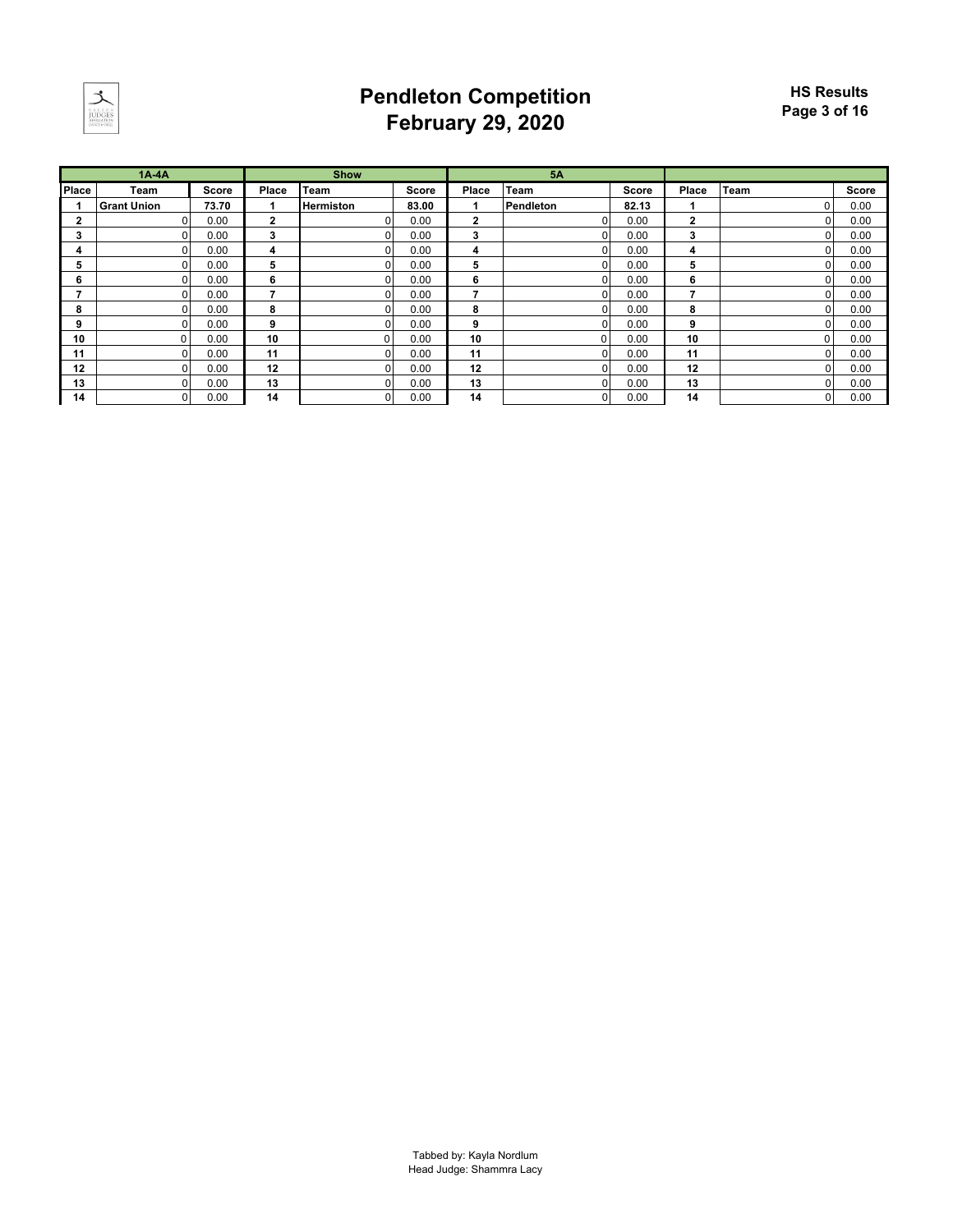

### **Pendleton Competition February 29, 2020**

|              | $1A-4A$            |              |       | <b>Show</b>      |              |                | 5A             |              |              |      |              |
|--------------|--------------------|--------------|-------|------------------|--------------|----------------|----------------|--------------|--------------|------|--------------|
| <b>Place</b> | Team               | <b>Score</b> | Place | Team             | <b>Score</b> | Place          | Team           | <b>Score</b> | Place        | Team | <b>Score</b> |
|              | <b>Grant Union</b> | 73.70        |       | <b>Hermiston</b> | 83.00        |                | Pendleton      | 82.13        |              |      | 0.00         |
| 2            |                    | 0.00         | 2     |                  | 0.00         | $\overline{2}$ | $\Omega$       | 0.00         | $\mathbf{2}$ |      | 0.00         |
| 3            | n.                 | 0.00         | 3     |                  | 0.00         | 3              | $\Omega$       | 0.00         | 3            |      | 0.00         |
| 4            |                    | 0.00         | 4     |                  | 0.00         | 4              | $\Omega$       | 0.00         | 4            |      | 0.00         |
| 5            |                    | 0.00         | 5     |                  | 0.00         | 5              | $\Omega$       | 0.00         | 5            |      | 0.00         |
| 6            | ω.                 | 0.00         | 6     |                  | 0.00         | 6              | $\Omega$       | 0.00         | 6            |      | 0.00         |
|              |                    | 0.00         |       |                  | 0.00         | 7              | $\Omega$       | 0.00         | 7            |      | 0.00         |
| 8            |                    | 0.00         | 8     |                  | 0.00         | 8              | $\Omega$       | 0.00         | 8            |      | 0.00         |
| 9            |                    | 0.00         | 9     |                  | 0.00         | 9              | $\Omega$       | 0.00         | 9            |      | 0.00         |
| 10           |                    | 0.00         | 10    | 0                | 0.00         | 10             | 0              | 0.00         | 10           |      | 0.00         |
| 11           |                    | 0.00         | 11    |                  | 0.00         | 11             | $\Omega$       | 0.00         | 11           |      | 0.00         |
| 12           |                    | 0.00         | 12    |                  | 0.00         | 12             | $\Omega$       | 0.00         | 12           |      | 0.00         |
| 13           |                    | 0.00         | 13    |                  | 0.00         | 13             | $\Omega$       | 0.00         | 13           |      | 0.00         |
| 14           |                    | 0.00         | 14    |                  | 0.00         | 14             | $\overline{0}$ | 0.00         | 14           |      | 0.00         |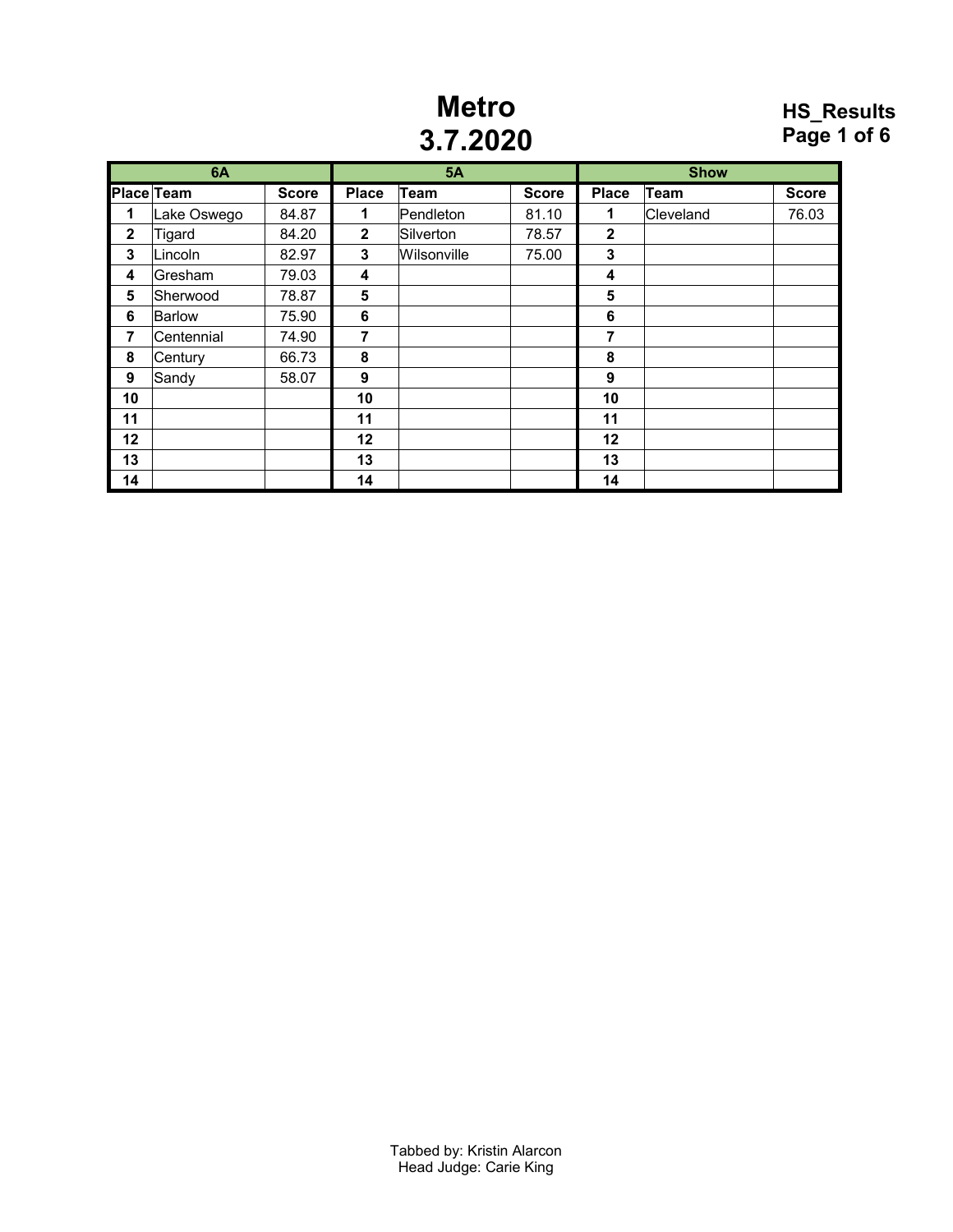### **Metro 3.7.2020**

#### **HS\_Results Page 1 of 6**

|             | 6A          |              |              | <b>5A</b>   |              |              | <b>Show</b> |              |
|-------------|-------------|--------------|--------------|-------------|--------------|--------------|-------------|--------------|
|             | Place Team  | <b>Score</b> | <b>Place</b> | Team        | <b>Score</b> | <b>Place</b> | <b>Team</b> | <b>Score</b> |
| 1           | Lake Oswego | 84.87        | 1            | Pendleton   | 81.10        | 1            | Cleveland   | 76.03        |
| $\mathbf 2$ | Tigard      | 84.20        | $\mathbf{2}$ | Silverton   | 78.57        | $\mathbf 2$  |             |              |
| 3           | Lincoln     | 82.97        | 3            | Wilsonville | 75.00        | 3            |             |              |
| 4           | lGresham.   | 79.03        | 4            |             |              | 4            |             |              |
| 5           | Sherwood    | 78.87        | 5            |             |              | 5            |             |              |
| 6           | Barlow      | 75.90        | 6            |             |              | 6            |             |              |
| 7           | Centennial  | 74.90        | 7            |             |              | 7            |             |              |
| 8           | Century     | 66.73        | 8            |             |              | 8            |             |              |
| 9           | Sandy       | 58.07        | 9            |             |              | 9            |             |              |
| 10          |             |              | 10           |             |              | 10           |             |              |
| 11          |             |              | 11           |             |              | 11           |             |              |
| 12          |             |              | 12           |             |              | 12           |             |              |
| 13          |             |              | 13           |             |              | 13           |             |              |
| 14          |             |              | 14           |             |              | 14           |             |              |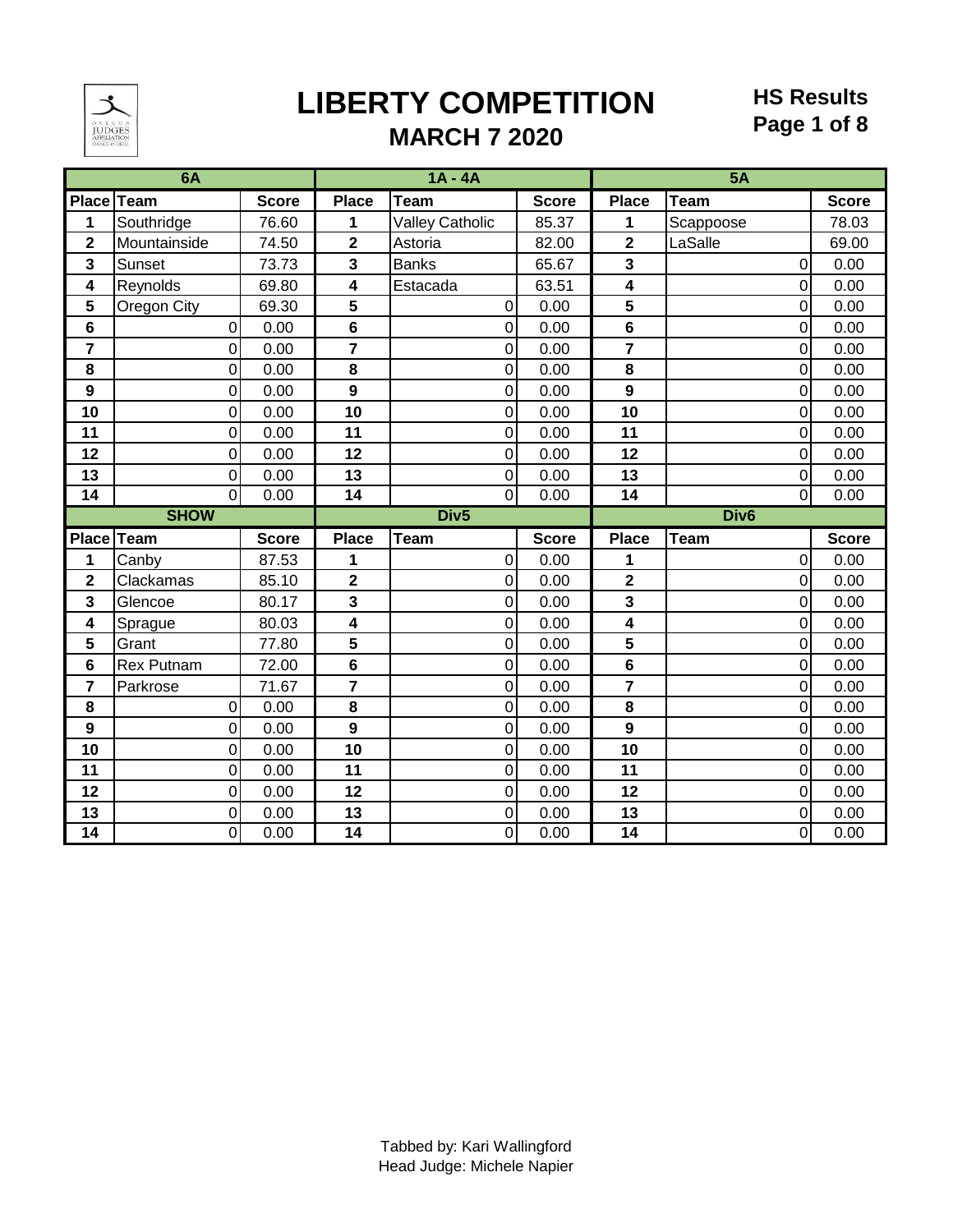

# **LIBERTY COMPETITION**

#### **HS Results Page 1 of 8**

### **MARCH 7 2020**

| 6A                      |                |              | $1A - 4A$               |                        |              | 5A                      |                  |              |  |  |
|-------------------------|----------------|--------------|-------------------------|------------------------|--------------|-------------------------|------------------|--------------|--|--|
|                         | Place Team     | <b>Score</b> | <b>Place</b>            | <b>Team</b>            | <b>Score</b> | <b>Place</b>            | <b>Team</b>      | <b>Score</b> |  |  |
| 1                       | Southridge     | 76.60        | 1                       | <b>Valley Catholic</b> | 85.37        | 1                       | Scappoose        | 78.03        |  |  |
| $\mathbf 2$             | Mountainside   | 74.50        | $\overline{\mathbf{2}}$ | Astoria                | 82.00        | $\overline{\mathbf{2}}$ | LaSalle          | 69.00        |  |  |
| 3                       | Sunset         | 73.73        | 3                       | <b>Banks</b>           | 65.67        | 3                       | $\overline{0}$   | 0.00         |  |  |
| 4                       | Reynolds       | 69.80        | 4                       | Estacada               | 63.51        | $\overline{\mathbf{4}}$ | $\overline{0}$   | 0.00         |  |  |
| 5                       | Oregon City    | 69.30        | 5                       | 0                      | 0.00         | 5                       | 0                | 0.00         |  |  |
| 6                       | 0              | 0.00         | 6                       | $\mathbf 0$            | 0.00         | 6                       | 0                | 0.00         |  |  |
| $\overline{7}$          | 0              | 0.00         | $\overline{7}$          | $\boldsymbol{0}$       | 0.00         | $\overline{7}$          | 0                | 0.00         |  |  |
| 8                       | 0              | 0.00         | 8                       | $\mathbf 0$            | 0.00         | 8                       | 0                | 0.00         |  |  |
| $\mathbf{9}$            | 0              | 0.00         | $\mathbf{9}$            | $\mathbf 0$            | 0.00         | $\mathbf{9}$            | $\overline{0}$   | 0.00         |  |  |
| 10                      | $\mathbf 0$    | 0.00         | 10                      | $\mathbf 0$            | 0.00         | 10                      | $\overline{0}$   | 0.00         |  |  |
| 11                      | 0              | 0.00         | 11                      | $\mathbf 0$            | 0.00         | 11                      | 0                | 0.00         |  |  |
| 12                      | 0              | 0.00         | 12                      | $\mathbf 0$            | 0.00         | 12                      | $\Omega$         | 0.00         |  |  |
| 13                      | $\mathbf 0$    | 0.00         | 13                      | $\overline{0}$         | 0.00         | 13                      | 0                | 0.00         |  |  |
| 14                      | $\overline{0}$ | 0.00         | 14                      | $\mathbf 0$            | 0.00         | 14                      | $\overline{0}$   | 0.00         |  |  |
|                         | <b>SHOW</b>    |              |                         | Div <sub>5</sub>       |              |                         | Div <sub>6</sub> |              |  |  |
|                         |                |              |                         |                        |              |                         |                  |              |  |  |
| Place Team              |                | <b>Score</b> | <b>Place</b>            | <b>Team</b>            | <b>Score</b> | <b>Place</b>            | <b>Team</b>      | <b>Score</b> |  |  |
| 1                       | Canby          | 87.53        | 1                       | $\mathbf 0$            | 0.00         | 1                       | 0                | 0.00         |  |  |
| $\overline{\mathbf{2}}$ | Clackamas      | 85.10        | $\overline{\mathbf{2}}$ | $\overline{0}$         | 0.00         | $\overline{\mathbf{2}}$ | $\Omega$         | 0.00         |  |  |
| 3                       | Glencoe        | 80.17        | 3                       | $\overline{0}$         | 0.00         | $\overline{\mathbf{3}}$ | 0                | 0.00         |  |  |
| 4                       | Sprague        | 80.03        | $\overline{\mathbf{4}}$ | $\boldsymbol{0}$       | 0.00         | $\overline{\mathbf{4}}$ | 0                | 0.00         |  |  |
| 5                       | Grant          | 77.80        | 5                       | $\mathbf 0$            | 0.00         | 5                       | $\overline{0}$   | 0.00         |  |  |
| 6                       | Rex Putnam     | 72.00        | 6                       | $\overline{0}$         | 0.00         | 6                       | $\overline{0}$   | 0.00         |  |  |
| $\overline{7}$          | Parkrose       | 71.67        | $\overline{\mathbf{r}}$ | $\mathbf 0$            | 0.00         | $\overline{\mathbf{r}}$ | 0                | 0.00         |  |  |
| 8                       | 0              | 0.00         | 8                       | $\mathbf 0$            | 0.00         | 8                       | 0                | 0.00         |  |  |
| $\overline{9}$          | 0              | 0.00         | 9                       | $\overline{0}$         | 0.00         | 9                       | $\Omega$         | 0.00         |  |  |
| 10                      | 0              | 0.00         | 10                      | $\mathbf 0$            | 0.00         | 10                      | 0                | 0.00         |  |  |
| 11                      | 0              | 0.00         | 11                      | $\mathbf 0$            | 0.00         | 11                      | $\overline{0}$   | 0.00         |  |  |
| 12                      | $\mathbf 0$    | 0.00         | 12                      | $\overline{0}$         | 0.00         | 12                      | $\overline{0}$   | 0.00         |  |  |
| 13<br>14                | 0              | 0.00<br>0.00 | 13<br>14                | $\boldsymbol{0}$       | 0.00<br>0.00 | 13<br>14                | 0                | 0.00<br>0.00 |  |  |